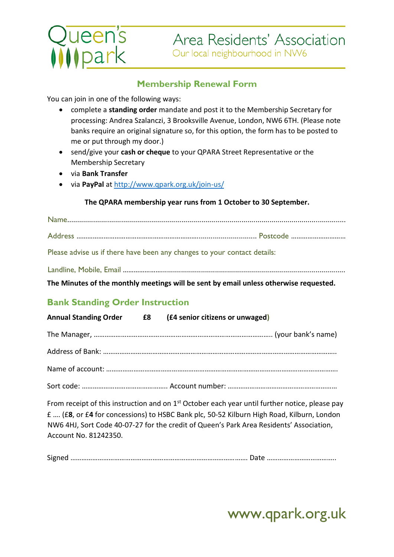# ueen's<br>Mpark

## **Membership Renewal Form**

You can join in one of the following ways:

- complete a **standing order** mandate and post it to the Membership Secretary for processing: Andrea Szalanczi, 3 Brooksville Avenue, London, NW6 6TH. (Please note banks require an original signature so, for this option, the form has to be posted to me or put through my door.)
- send/give your **cash or cheque** to your QPARA Street Representative or the Membership Secretary
- via **Bank Transfer**
- via **PayPal** at<http://www.qpark.org.uk/join-us/>

#### **The QPARA membership year runs from 1 October to 30 September.**

Name...........................................................................................................................................

Address ………………………………………………………….............................. Postcode …………………………

Please advise us if there have been any changes to your contact details:

Landline, Mobile, Email …………………............................................................................................

**The Minutes of the monthly meetings will be sent by email unless otherwise requested.**

## **Bank Standing Order Instruction**

|  | Annual Standing Order E8 (£4 senior citizens or unwaged) |
|--|----------------------------------------------------------|
|  |                                                          |
|  |                                                          |
|  |                                                          |
|  |                                                          |

From receipt of this instruction and on  $1<sup>st</sup>$  October each year until further notice, please pay £ …. (£**8**, or £**4** for concessions) to HSBC Bank plc, 50-52 Kilburn High Road, Kilburn, London NW6 4HJ, Sort Code 40-07-27 for the credit of Queen's Park Area Residents' Association, Account No. 81242350.

Signed ……………………………………………………………………………………. Date ………………………………..

# www.qpark.org.uk